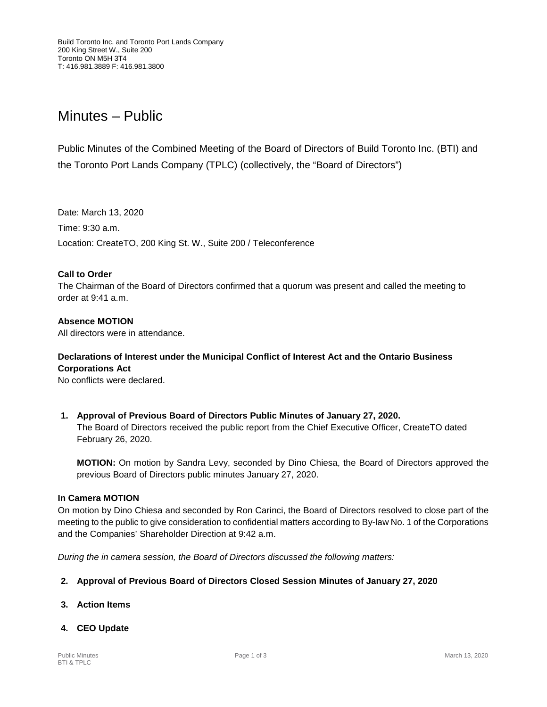# Minutes – Public

Public Minutes of the Combined Meeting of the Board of Directors of Build Toronto Inc. (BTI) and the Toronto Port Lands Company (TPLC) (collectively, the "Board of Directors")

Date: March 13, 2020 Time: 9:30 a.m. Location: CreateTO, 200 King St. W., Suite 200 / Teleconference

#### **Call to Order**

The Chairman of the Board of Directors confirmed that a quorum was present and called the meeting to order at  $9:41$  a.m.

# **Absence MOTION**

All directors were in attendance.

# **Declarations of Interest under the Municipal Conflict of Interest Act and the Ontario Business Corporations Act**

No conflicts were declared.

**1. Approval of Previous Board of Directors Public Minutes of January 27, 2020.** The Board of Directors received the public report from the Chief Executive Officer, CreateTO dated February 26, 2020.

**MOTION:** On motion by Sandra Levy, seconded by Dino Chiesa, the Board of Directors approved the previous Board of Directors public minutes January 27, 2020.

#### **In Camera MOTION**

On motion by Dino Chiesa and seconded by Ron Carinci, the Board of Directors resolved to close part of the meeting to the public to give consideration to confidential matters according to By-law No. 1 of the Corporations and the Companies' Shareholder Direction at 9:42 a.m.

*During the in camera session, the Board of Directors discussed the following matters:*

#### **2. Approval of Previous Board of Directors Closed Session Minutes of January 27, 2020**

**3. Action Items** 

#### **4. CEO Update**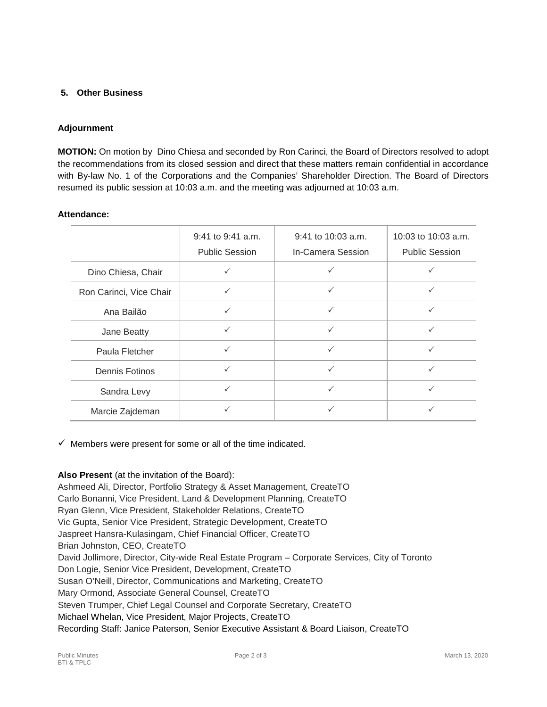## **5. Other Business**

## **Adjournment**

**MOTION:** On motion by Dino Chiesa and seconded by Ron Carinci, the Board of Directors resolved to adopt the recommendations from its closed session and direct that these matters remain confidential in accordance with By-law No. 1 of the Corporations and the Companies' Shareholder Direction. The Board of Directors resumed its public session at 10:03 a.m. and the meeting was adjourned at 10:03 a.m.

|                         | 9:41 to 9:41 a.m.<br><b>Public Session</b> | 9:41 to 10:03 a.m.<br><b>In-Camera Session</b> | 10:03 to 10:03 a.m.<br><b>Public Session</b> |
|-------------------------|--------------------------------------------|------------------------------------------------|----------------------------------------------|
| Dino Chiesa, Chair      |                                            | ✓                                              |                                              |
| Ron Carinci, Vice Chair |                                            | $\checkmark$                                   |                                              |
| Ana Bailão              |                                            | $\checkmark$                                   | $\checkmark$                                 |
| Jane Beatty             | $\checkmark$                               | ✓                                              | ✓                                            |
| Paula Fletcher          | $\checkmark$                               | ✓                                              | ✓                                            |
| <b>Dennis Fotinos</b>   | $\checkmark$                               | $\checkmark$                                   |                                              |
| Sandra Levy             |                                            | $\checkmark$                                   |                                              |
| Marcie Zajdeman         |                                            | ✓                                              |                                              |

#### **Attendance:**

 $\checkmark$  Members were present for some or all of the time indicated.

#### **Also Present** (at the invitation of the Board):

Ashmeed Ali, Director, Portfolio Strategy & Asset Management, CreateTO Carlo Bonanni, Vice President, Land & Development Planning, CreateTO Ryan Glenn, Vice President, Stakeholder Relations, CreateTO Vic Gupta, Senior Vice President, Strategic Development, CreateTO Jaspreet Hansra-Kulasingam, Chief Financial Officer, CreateTO Brian Johnston, CEO, CreateTO David Jollimore, Director, City-wide Real Estate Program – Corporate Services, City of Toronto Don Logie, Senior Vice President, Development, CreateTO Susan O'Neill, Director, Communications and Marketing, CreateTO Mary Ormond, Associate General Counsel, CreateTO Steven Trumper, Chief Legal Counsel and Corporate Secretary, CreateTO Michael Whelan, Vice President, Major Projects, CreateTO Recording Staff: Janice Paterson, Senior Executive Assistant & Board Liaison, CreateTO